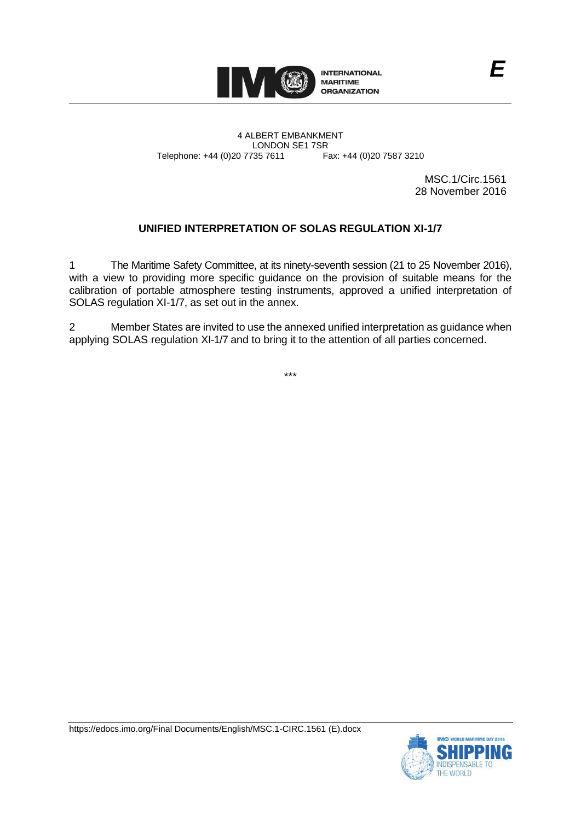

4 ALBERT EMBANKMENT Telephone: +44 (0)20 7735 7611

LONDON SE1 7SR<br>735 7611 Fax: +44 (0)20 7587 3210

MSC.1/Circ.1561 28 November 2016

## **UNIFIED INTERPRETATION OF SOLAS REGULATION XI-1/7**

1 The Maritime Safety Committee, at its ninety-seventh session (21 to 25 November 2016), with a view to providing more specific guidance on the provision of suitable means for the calibration of portable atmosphere testing instruments, approved a unified interpretation of SOLAS regulation XI-1/7, as set out in the annex.

2 Member States are invited to use the annexed unified interpretation as guidance when applying SOLAS regulation XI-1/7 and to bring it to the attention of all parties concerned.

\*\*\*